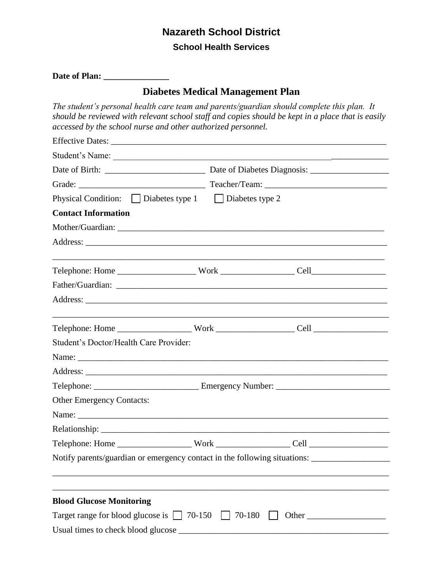# **Nazareth School District**

## **School Health Services**

| Date of Plan: |  |
|---------------|--|
|               |  |

## **Diabetes Medical Management Plan**

*The student's personal health care team and parents/guardian should complete this plan. It should be reviewed with relevant school staff and copies should be kept in a place that is easily accessed by the school nurse and other authorized personnel.* 

| Physical Condition: $\Box$ Diabetes type 1 $\Box$ Diabetes type 2 |                                                                                                     |  |  |  |
|-------------------------------------------------------------------|-----------------------------------------------------------------------------------------------------|--|--|--|
| <b>Contact Information</b>                                        |                                                                                                     |  |  |  |
|                                                                   |                                                                                                     |  |  |  |
|                                                                   |                                                                                                     |  |  |  |
|                                                                   |                                                                                                     |  |  |  |
|                                                                   |                                                                                                     |  |  |  |
|                                                                   |                                                                                                     |  |  |  |
|                                                                   |                                                                                                     |  |  |  |
| Student's Doctor/Health Care Provider:                            |                                                                                                     |  |  |  |
|                                                                   |                                                                                                     |  |  |  |
|                                                                   |                                                                                                     |  |  |  |
|                                                                   |                                                                                                     |  |  |  |
| <b>Other Emergency Contacts:</b>                                  |                                                                                                     |  |  |  |
|                                                                   |                                                                                                     |  |  |  |
|                                                                   |                                                                                                     |  |  |  |
|                                                                   |                                                                                                     |  |  |  |
|                                                                   | Notify parents/guardian or emergency contact in the following situations: _________________________ |  |  |  |
|                                                                   |                                                                                                     |  |  |  |
| <b>Blood Glucose Monitoring</b>                                   |                                                                                                     |  |  |  |
| Target range for blood glucose is $\vert$   70-150   70-180       |                                                                                                     |  |  |  |
| Usual times to check blood glucose                                |                                                                                                     |  |  |  |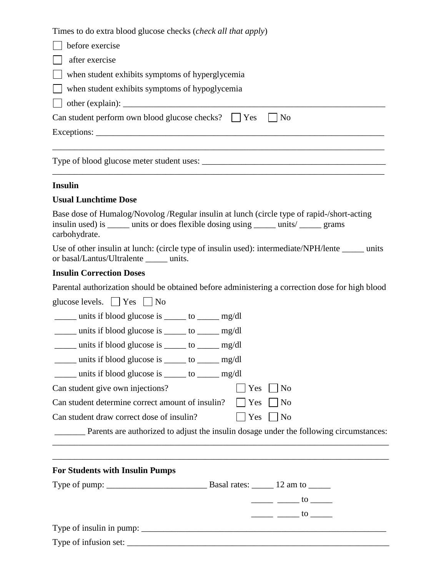Times to do extra blood glucose checks (*check all that apply*)

| $\Box$ before exercise                                                       |
|------------------------------------------------------------------------------|
| $\Box$ after exercise                                                        |
| $\Box$ when student exhibits symptoms of hyperglycemia                       |
| when student exhibits symptoms of hypoglycemia                               |
|                                                                              |
| Can student perform own blood glucose checks? $\parallel$ Yes $\parallel$ No |
|                                                                              |
|                                                                              |

\_\_\_\_\_\_\_\_\_\_\_\_\_\_\_\_\_\_\_\_\_\_\_\_\_\_\_\_\_\_\_\_\_\_\_\_\_\_\_\_\_\_\_\_\_\_\_\_\_\_\_\_\_\_\_\_\_\_\_\_\_\_\_\_\_\_\_\_\_\_\_\_\_\_\_\_

Type of blood glucose meter student uses:

#### **Insulin**

#### **Usual Lunchtime Dose**

Base dose of Humalog/Novolog /Regular insulin at lunch (circle type of rapid-/short-acting insulin used) is \_\_\_\_\_ units or does flexible dosing using \_\_\_\_\_ units/ \_\_\_\_\_ grams carbohydrate.

Use of other insulin at lunch: (circle type of insulin used): intermediate/NPH/lente units or basal/Lantus/Ultralente \_\_\_\_\_ units.

#### **Insulin Correction Doses**

Parental authorization should be obtained before administering a correction dose for high blood

glucose levels.  $\Box$  Yes  $\Box$  No

units if blood glucose is  $\qquad$  to  $\qquad$  mg/dl

\_\_\_\_\_ units if blood glucose is \_\_\_\_\_ to \_\_\_\_\_ mg/dl

\_\_\_\_\_ units if blood glucose is \_\_\_\_\_ to \_\_\_\_\_ mg/dl

\_\_\_\_\_ units if blood glucose is \_\_\_\_\_ to \_\_\_\_\_ mg/dl

 $\frac{1}{\text{units if blood glucose is}}$  to  $\frac{\text{mg/dl}}{\text{mg/dl}}$ 

Can student give own injections?  $\Box$  Yes  $\Box$  No

Can student determine correct amount of insulin?  $\Box$  Yes  $\Box$  No

Can student draw correct dose of insulin?  $\Box$  Yes  $\Box$  No

\_\_\_\_\_\_\_ Parents are authorized to adjust the insulin dosage under the following circumstances:

\_\_\_\_\_\_\_\_\_\_\_\_\_\_\_\_\_\_\_\_\_\_\_\_\_\_\_\_\_\_\_\_\_\_\_\_\_\_\_\_\_\_\_\_\_\_\_\_\_\_\_\_\_\_\_\_\_\_\_\_\_\_\_\_\_\_\_\_\_\_\_\_\_\_\_\_\_ \_\_\_\_\_\_\_\_\_\_\_\_\_\_\_\_\_\_\_\_\_\_\_\_\_\_\_\_\_\_\_\_\_\_\_\_\_\_\_\_\_\_\_\_\_\_\_\_\_\_\_\_\_\_\_\_\_\_\_\_\_\_\_\_\_\_\_\_\_\_\_\_\_\_\_\_\_

| <b>For Students with Insulin Pumps</b> |  |  |  |  |
|----------------------------------------|--|--|--|--|
|----------------------------------------|--|--|--|--|

| Type of pump: $\frac{1}{2}$ | Basal rates: 12 am to                                                                                                                                                                                                                                                                                                                                                                                                           |  |
|-----------------------------|---------------------------------------------------------------------------------------------------------------------------------------------------------------------------------------------------------------------------------------------------------------------------------------------------------------------------------------------------------------------------------------------------------------------------------|--|
|                             | $\frac{1}{\sqrt{1-\frac{1}{2}}}\frac{1}{\sqrt{1-\frac{1}{2}}}\frac{1}{\sqrt{1-\frac{1}{2}}}\frac{1}{\sqrt{1-\frac{1}{2}}}\frac{1}{\sqrt{1-\frac{1}{2}}}\frac{1}{\sqrt{1-\frac{1}{2}}}\frac{1}{\sqrt{1-\frac{1}{2}}}\frac{1}{\sqrt{1-\frac{1}{2}}}\frac{1}{\sqrt{1-\frac{1}{2}}}\frac{1}{\sqrt{1-\frac{1}{2}}}\frac{1}{\sqrt{1-\frac{1}{2}}}\frac{1}{\sqrt{1-\frac{1}{2}}}\frac{1}{\sqrt{1-\frac{1}{2}}}\frac{1}{\sqrt{1-\frac{$ |  |
|                             | $\frac{1}{\sqrt{1-\frac{1}{2}}}\frac{1}{\sqrt{1-\frac{1}{2}}}\frac{1}{\sqrt{1-\frac{1}{2}}}\frac{1}{\sqrt{1-\frac{1}{2}}}\frac{1}{\sqrt{1-\frac{1}{2}}}\frac{1}{\sqrt{1-\frac{1}{2}}}\frac{1}{\sqrt{1-\frac{1}{2}}}\frac{1}{\sqrt{1-\frac{1}{2}}}\frac{1}{\sqrt{1-\frac{1}{2}}}\frac{1}{\sqrt{1-\frac{1}{2}}}\frac{1}{\sqrt{1-\frac{1}{2}}}\frac{1}{\sqrt{1-\frac{1}{2}}}\frac{1}{\sqrt{1-\frac{1}{2}}}\frac{1}{\sqrt{1-\frac{$ |  |
|                             |                                                                                                                                                                                                                                                                                                                                                                                                                                 |  |
|                             |                                                                                                                                                                                                                                                                                                                                                                                                                                 |  |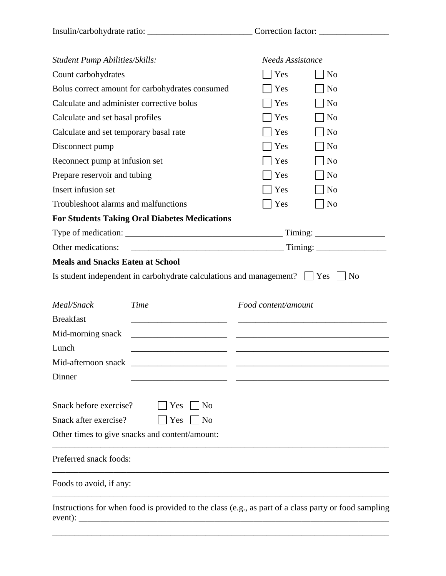| <b>Student Pump Abilities/Skills:</b>                                          | <b>Needs Assistance</b>                       |
|--------------------------------------------------------------------------------|-----------------------------------------------|
| Count carbohydrates                                                            | Yes<br>N <sub>o</sub>                         |
| Bolus correct amount for carbohydrates consumed                                | Yes<br>N <sub>0</sub>                         |
| Calculate and administer corrective bolus                                      | N <sub>o</sub><br>Yes                         |
| Calculate and set basal profiles                                               | Yes<br>N <sub>o</sub>                         |
| Calculate and set temporary basal rate                                         | Yes<br>N <sub>o</sub>                         |
| Disconnect pump                                                                | Yes<br>N <sub>0</sub>                         |
| Reconnect pump at infusion set                                                 | N <sub>o</sub><br>Yes                         |
| Prepare reservoir and tubing                                                   | Yes<br>N <sub>o</sub>                         |
| Insert infusion set                                                            | Yes<br>N <sub>o</sub>                         |
| Troubleshoot alarms and malfunctions                                           | Yes<br>N <sub>0</sub>                         |
| <b>For Students Taking Oral Diabetes Medications</b>                           |                                               |
|                                                                                |                                               |
| Other medications:                                                             |                                               |
| <b>Meals and Snacks Eaten at School</b>                                        |                                               |
| Is student independent in carbohydrate calculations and management? $\Box$ Yes | $\vert$   No                                  |
| Meal/Snack<br>Time                                                             | Food content/amount                           |
| <b>Breakfast</b>                                                               |                                               |
| Mid-morning snack                                                              |                                               |
| Lunch                                                                          |                                               |
| Mid-afternoon snack                                                            | <u> 1980 - Andrea Andrew Maria (h. 1980).</u> |
| Dinner                                                                         |                                               |
| Snack before exercise?<br>Yes<br>N <sub>o</sub>                                |                                               |
|                                                                                |                                               |
| Snack after exercise?<br>Yes<br>N <sub>0</sub>                                 |                                               |
| Other times to give snacks and content/amount:                                 |                                               |
| Preferred snack foods:                                                         |                                               |
| Foods to avoid, if any:                                                        |                                               |

\_\_\_\_\_\_\_\_\_\_\_\_\_\_\_\_\_\_\_\_\_\_\_\_\_\_\_\_\_\_\_\_\_\_\_\_\_\_\_\_\_\_\_\_\_\_\_\_\_\_\_\_\_\_\_\_\_\_\_\_\_\_\_\_\_\_\_\_\_\_\_\_\_\_\_\_\_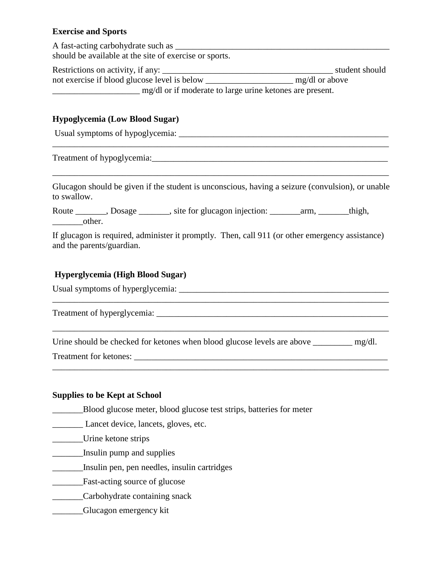## **Exercise and Sports**

A fast-acting carbohydrate such as should be available at the site of exercise or sports.

Restrictions on activity, if any: \_\_\_\_\_\_\_\_\_\_\_\_\_\_\_\_\_\_\_\_\_\_\_\_\_\_\_\_\_\_\_\_\_\_\_\_\_\_\_ student should not exercise if blood glucose level is below \_\_\_\_\_\_\_\_\_\_\_\_\_\_\_\_\_\_\_\_ mg/dl or above \_\_\_\_\_\_\_\_\_\_\_\_\_\_\_\_\_\_\_\_ mg/dl or if moderate to large urine ketones are present.

#### **Hypoglycemia (Low Blood Sugar)**

Usual symptoms of hypoglycemia: \_\_\_\_\_\_\_\_\_\_\_\_\_\_\_\_\_\_\_\_\_\_\_\_\_\_\_\_\_\_\_\_\_\_\_\_\_\_\_\_\_\_\_\_\_\_\_\_

Treatment of hypoglycemia:

Glucagon should be given if the student is unconscious, having a seizure (convulsion), or unable to swallow.

\_\_\_\_\_\_\_\_\_\_\_\_\_\_\_\_\_\_\_\_\_\_\_\_\_\_\_\_\_\_\_\_\_\_\_\_\_\_\_\_\_\_\_\_\_\_\_\_\_\_\_\_\_\_\_\_\_\_\_\_\_\_\_\_\_\_\_\_\_\_\_\_\_\_\_\_\_

\_\_\_\_\_\_\_\_\_\_\_\_\_\_\_\_\_\_\_\_\_\_\_\_\_\_\_\_\_\_\_\_\_\_\_\_\_\_\_\_\_\_\_\_\_\_\_\_\_\_\_\_\_\_\_\_\_\_\_\_\_\_\_\_\_\_\_\_\_\_\_\_\_\_\_\_\_

| Route |        | , Dosage | site for glucagon injection: | arm. | thigh, |
|-------|--------|----------|------------------------------|------|--------|
|       | other. |          |                              |      |        |

If glucagon is required, administer it promptly. Then, call 911 (or other emergency assistance) and the parents/guardian.

\_\_\_\_\_\_\_\_\_\_\_\_\_\_\_\_\_\_\_\_\_\_\_\_\_\_\_\_\_\_\_\_\_\_\_\_\_\_\_\_\_\_\_\_\_\_\_\_\_\_\_\_\_\_\_\_\_\_\_\_\_\_\_\_\_\_\_\_\_\_\_\_\_\_\_\_\_

\_\_\_\_\_\_\_\_\_\_\_\_\_\_\_\_\_\_\_\_\_\_\_\_\_\_\_\_\_\_\_\_\_\_\_\_\_\_\_\_\_\_\_\_\_\_\_\_\_\_\_\_\_\_\_\_\_\_\_\_\_\_\_\_\_\_\_\_\_\_\_\_\_\_\_\_\_

#### **Hyperglycemia (High Blood Sugar)**

Usual symptoms of hyperglycemia: \_\_\_\_\_\_\_\_\_\_\_\_\_\_\_\_\_\_\_\_\_\_\_\_\_\_\_\_\_\_\_\_\_\_\_\_\_\_\_\_\_\_\_\_\_\_\_\_

Treatment of hyperglycemia:

Urine should be checked for ketones when blood glucose levels are above \_\_\_\_\_\_\_\_\_ mg/dl. Treatment for ketones: \_\_\_\_\_\_\_\_\_\_\_\_\_\_\_\_\_\_\_\_\_\_\_\_\_\_\_\_\_\_\_\_\_\_\_\_\_\_\_\_\_\_\_\_\_\_\_\_\_\_\_\_\_\_\_\_\_\_

\_\_\_\_\_\_\_\_\_\_\_\_\_\_\_\_\_\_\_\_\_\_\_\_\_\_\_\_\_\_\_\_\_\_\_\_\_\_\_\_\_\_\_\_\_\_\_\_\_\_\_\_\_\_\_\_\_\_\_\_\_\_\_\_\_\_\_\_\_\_\_\_\_\_\_\_\_

#### **Supplies to be Kept at School**

\_\_\_\_\_\_\_Blood glucose meter, blood glucose test strips, batteries for meter

\_\_\_\_\_\_\_ Lancet device, lancets, gloves, etc.

\_\_\_\_\_\_\_Urine ketone strips

- \_\_\_\_\_\_\_Insulin pump and supplies
- \_\_\_\_\_\_\_Insulin pen, pen needles, insulin cartridges
- \_\_\_\_\_\_\_Fast-acting source of glucose
- \_\_\_\_\_\_\_Carbohydrate containing snack
- \_\_\_\_\_\_\_Glucagon emergency kit